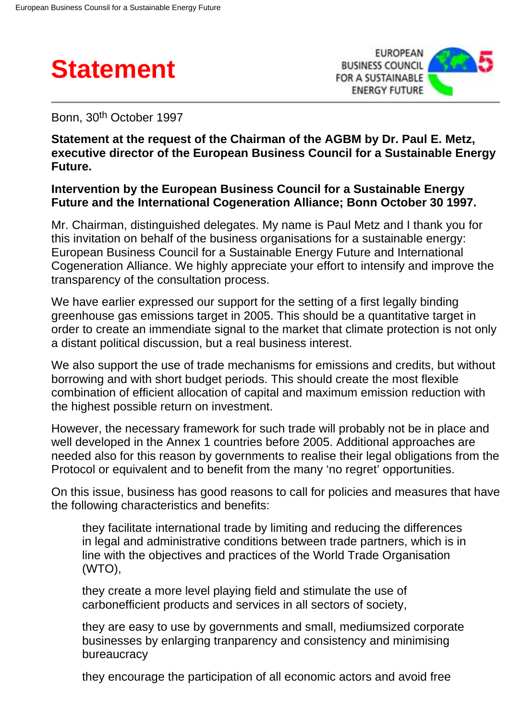



Bonn, 30th October 1997

**Statement at the request of the Chairman of the AGBM by Dr. Paul E. Metz, executive director of the European Business Council for a Sustainable Energy Future.**

## **Intervention by the European Business Council for a Sustainable Energy Future and the International Cogeneration Alliance; Bonn October 30 1997.**

Mr. Chairman, distinguished delegates. My name is Paul Metz and I thank you for this invitation on behalf of the business organisations for a sustainable energy: European Business Council for a Sustainable Energy Future and International Cogeneration Alliance. We highly appreciate your effort to intensify and improve the transparency of the consultation process.

We have earlier expressed our support for the setting of a first legally binding greenhouse gas emissions target in 2005. This should be a quantitative target in order to create an immendiate signal to the market that climate protection is not only a distant political discussion, but a real business interest.

We also support the use of trade mechanisms for emissions and credits, but without borrowing and with short budget periods. This should create the most flexible combination of efficient allocation of capital and maximum emission reduction with the highest possible return on investment.

However, the necessary framework for such trade will probably not be in place and well developed in the Annex 1 countries before 2005. Additional approaches are needed also for this reason by governments to realise their legal obligations from the Protocol or equivalent and to benefit from the many 'no regret' opportunities.

On this issue, business has good reasons to call for policies and measures that have the following characteristics and benefits:

they facilitate international trade by limiting and reducing the differences in legal and administrative conditions between trade partners, which is in line with the objectives and practices of the World Trade Organisation (WTO),

they create a more level playing field and stimulate the use of carbonefficient products and services in all sectors of society,

they are easy to use by governments and small, mediumsized corporate businesses by enlarging tranparency and consistency and minimising bureaucracy

they encourage the participation of all economic actors and avoid free